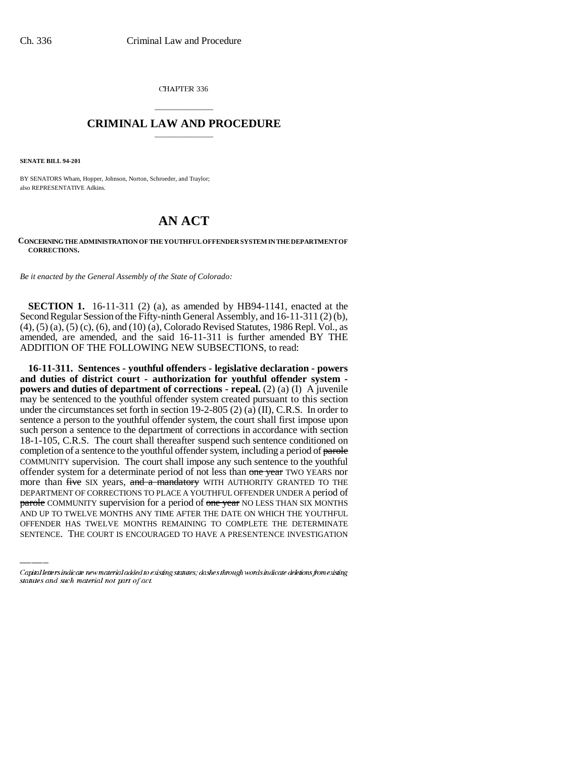CHAPTER 336

## \_\_\_\_\_\_\_\_\_\_\_\_\_\_\_ **CRIMINAL LAW AND PROCEDURE** \_\_\_\_\_\_\_\_\_\_\_\_\_\_\_

**SENATE BILL 94-201**

BY SENATORS Wham, Hopper, Johnson, Norton, Schroeder, and Traylor; also REPRESENTATIVE Adkins.

## **AN ACT**

## **CONCERNING THE ADMINISTRATION OF THE YOUTHFUL OFFENDER SYSTEM IN THE DEPARTMENT OF CORRECTIONS.**

*Be it enacted by the General Assembly of the State of Colorado:*

**SECTION 1.** 16-11-311 (2) (a), as amended by HB94-1141, enacted at the Second Regular Session of the Fifty-ninth General Assembly, and 16-11-311 (2) (b), (4), (5) (a), (5) (c), (6), and (10) (a), Colorado Revised Statutes, 1986 Repl. Vol., as amended, are amended, and the said 16-11-311 is further amended BY THE ADDITION OF THE FOLLOWING NEW SUBSECTIONS, to read:

DEPARTMENT OF CORRECTIONS TO PLACE A YOUTHFUL OFFENDER UNDER A period of **16-11-311. Sentences - youthful offenders - legislative declaration - powers and duties of district court - authorization for youthful offender system powers and duties of department of corrections - repeal.** (2) (a) (I) A juvenile may be sentenced to the youthful offender system created pursuant to this section under the circumstances set forth in section 19-2-805 (2) (a) (II), C.R.S. In order to sentence a person to the youthful offender system, the court shall first impose upon such person a sentence to the department of corrections in accordance with section 18-1-105, C.R.S. The court shall thereafter suspend such sentence conditioned on completion of a sentence to the youthful offender system, including a period of parole COMMUNITY supervision. The court shall impose any such sentence to the youthful offender system for a determinate period of not less than one year TWO YEARS nor more than five SIX years, and a mandatory WITH AUTHORITY GRANTED TO THE parole COMMUNITY supervision for a period of one year NO LESS THAN SIX MONTHS AND UP TO TWELVE MONTHS ANY TIME AFTER THE DATE ON WHICH THE YOUTHFUL OFFENDER HAS TWELVE MONTHS REMAINING TO COMPLETE THE DETERMINATE SENTENCE. THE COURT IS ENCOURAGED TO HAVE A PRESENTENCE INVESTIGATION

Capital letters indicate new material added to existing statutes; dashes through words indicate deletions from existing statutes and such material not part of act.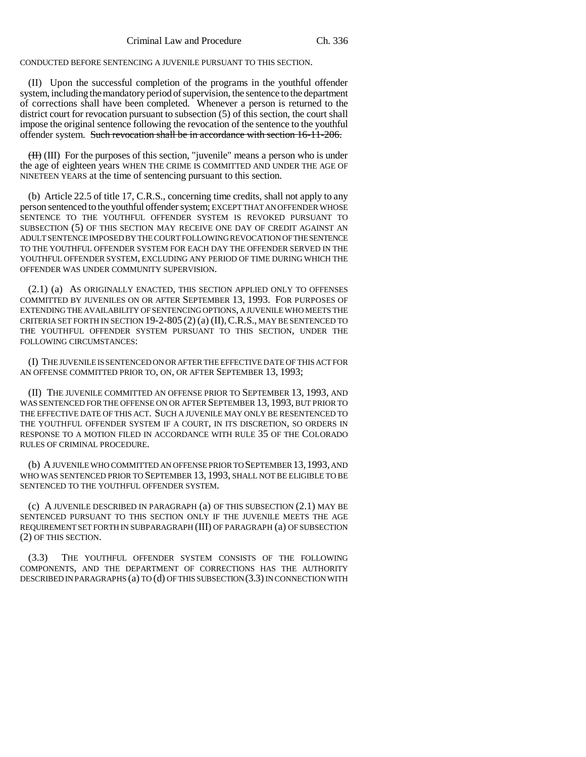CONDUCTED BEFORE SENTENCING A JUVENILE PURSUANT TO THIS SECTION.

(II) Upon the successful completion of the programs in the youthful offender system, including the mandatory period of supervision, the sentence to the department of corrections shall have been completed. Whenever a person is returned to the district court for revocation pursuant to subsection (5) of this section, the court shall impose the original sentence following the revocation of the sentence to the youthful offender system. Such revocation shall be in accordance with section 16-11-206.

(II) (III) For the purposes of this section, "juvenile" means a person who is under the age of eighteen years WHEN THE CRIME IS COMMITTED AND UNDER THE AGE OF NINETEEN YEARS at the time of sentencing pursuant to this section.

(b) Article 22.5 of title 17, C.R.S., concerning time credits, shall not apply to any person sentenced to the youthful offender system; EXCEPT THAT AN OFFENDER WHOSE SENTENCE TO THE YOUTHFUL OFFENDER SYSTEM IS REVOKED PURSUANT TO SUBSECTION (5) OF THIS SECTION MAY RECEIVE ONE DAY OF CREDIT AGAINST AN ADULT SENTENCE IMPOSED BY THE COURT FOLLOWING REVOCATION OF THE SENTENCE TO THE YOUTHFUL OFFENDER SYSTEM FOR EACH DAY THE OFFENDER SERVED IN THE YOUTHFUL OFFENDER SYSTEM, EXCLUDING ANY PERIOD OF TIME DURING WHICH THE OFFENDER WAS UNDER COMMUNITY SUPERVISION.

(2.1) (a) AS ORIGINALLY ENACTED, THIS SECTION APPLIED ONLY TO OFFENSES COMMITTED BY JUVENILES ON OR AFTER SEPTEMBER 13, 1993. FOR PURPOSES OF EXTENDING THE AVAILABILITY OF SENTENCING OPTIONS, A JUVENILE WHO MEETS THE CRITERIA SET FORTH IN SECTION 19-2-805 (2) (a) (II),C.R.S., MAY BE SENTENCED TO THE YOUTHFUL OFFENDER SYSTEM PURSUANT TO THIS SECTION, UNDER THE FOLLOWING CIRCUMSTANCES:

(I) THE JUVENILE IS SENTENCED ON OR AFTER THE EFFECTIVE DATE OF THIS ACT FOR AN OFFENSE COMMITTED PRIOR TO, ON, OR AFTER SEPTEMBER 13, 1993;

(II) THE JUVENILE COMMITTED AN OFFENSE PRIOR TO SEPTEMBER 13, 1993, AND WAS SENTENCED FOR THE OFFENSE ON OR AFTER SEPTEMBER 13, 1993, BUT PRIOR TO THE EFFECTIVE DATE OF THIS ACT. SUCH A JUVENILE MAY ONLY BE RESENTENCED TO THE YOUTHFUL OFFENDER SYSTEM IF A COURT, IN ITS DISCRETION, SO ORDERS IN RESPONSE TO A MOTION FILED IN ACCORDANCE WITH RULE 35 OF THE COLORADO RULES OF CRIMINAL PROCEDURE.

(b) A JUVENILE WHO COMMITTED AN OFFENSE PRIOR TO SEPTEMBER 13,1993, AND WHO WAS SENTENCED PRIOR TO SEPTEMBER 13, 1993, SHALL NOT BE ELIGIBLE TO BE SENTENCED TO THE YOUTHFUL OFFENDER SYSTEM.

(c) A JUVENILE DESCRIBED IN PARAGRAPH (a) OF THIS SUBSECTION (2.1) MAY BE SENTENCED PURSUANT TO THIS SECTION ONLY IF THE JUVENILE MEETS THE AGE REQUIREMENT SET FORTH IN SUBPARAGRAPH (III) OF PARAGRAPH (a) OF SUBSECTION (2) OF THIS SECTION.

(3.3) THE YOUTHFUL OFFENDER SYSTEM CONSISTS OF THE FOLLOWING COMPONENTS, AND THE DEPARTMENT OF CORRECTIONS HAS THE AUTHORITY DESCRIBED IN PARAGRAPHS (a) TO (d) OF THIS SUBSECTION (3.3) IN CONNECTION WITH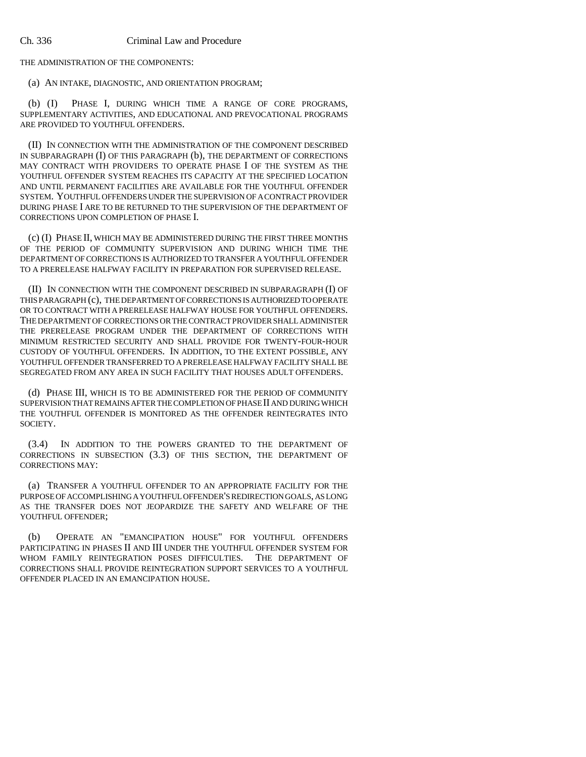THE ADMINISTRATION OF THE COMPONENTS:

(a) AN INTAKE, DIAGNOSTIC, AND ORIENTATION PROGRAM;

(b) (I) PHASE I, DURING WHICH TIME A RANGE OF CORE PROGRAMS, SUPPLEMENTARY ACTIVITIES, AND EDUCATIONAL AND PREVOCATIONAL PROGRAMS ARE PROVIDED TO YOUTHFUL OFFENDERS.

(II) IN CONNECTION WITH THE ADMINISTRATION OF THE COMPONENT DESCRIBED IN SUBPARAGRAPH (I) OF THIS PARAGRAPH (b), THE DEPARTMENT OF CORRECTIONS MAY CONTRACT WITH PROVIDERS TO OPERATE PHASE I OF THE SYSTEM AS THE YOUTHFUL OFFENDER SYSTEM REACHES ITS CAPACITY AT THE SPECIFIED LOCATION AND UNTIL PERMANENT FACILITIES ARE AVAILABLE FOR THE YOUTHFUL OFFENDER SYSTEM. YOUTHFUL OFFENDERS UNDER THE SUPERVISION OF A CONTRACT PROVIDER DURING PHASE I ARE TO BE RETURNED TO THE SUPERVISION OF THE DEPARTMENT OF CORRECTIONS UPON COMPLETION OF PHASE I.

(c) (I) PHASE II, WHICH MAY BE ADMINISTERED DURING THE FIRST THREE MONTHS OF THE PERIOD OF COMMUNITY SUPERVISION AND DURING WHICH TIME THE DEPARTMENT OF CORRECTIONS IS AUTHORIZED TO TRANSFER A YOUTHFUL OFFENDER TO A PRERELEASE HALFWAY FACILITY IN PREPARATION FOR SUPERVISED RELEASE.

(II) IN CONNECTION WITH THE COMPONENT DESCRIBED IN SUBPARAGRAPH (I) OF THIS PARAGRAPH (c), THE DEPARTMENT OF CORRECTIONS IS AUTHORIZED TO OPERATE OR TO CONTRACT WITH A PRERELEASE HALFWAY HOUSE FOR YOUTHFUL OFFENDERS. THE DEPARTMENT OF CORRECTIONS OR THE CONTRACT PROVIDER SHALL ADMINISTER THE PRERELEASE PROGRAM UNDER THE DEPARTMENT OF CORRECTIONS WITH MINIMUM RESTRICTED SECURITY AND SHALL PROVIDE FOR TWENTY-FOUR-HOUR CUSTODY OF YOUTHFUL OFFENDERS. IN ADDITION, TO THE EXTENT POSSIBLE, ANY YOUTHFUL OFFENDER TRANSFERRED TO A PRERELEASE HALFWAY FACILITY SHALL BE SEGREGATED FROM ANY AREA IN SUCH FACILITY THAT HOUSES ADULT OFFENDERS.

(d) PHASE III, WHICH IS TO BE ADMINISTERED FOR THE PERIOD OF COMMUNITY SUPERVISION THAT REMAINS AFTER THE COMPLETION OF PHASE II AND DURING WHICH THE YOUTHFUL OFFENDER IS MONITORED AS THE OFFENDER REINTEGRATES INTO SOCIETY.

(3.4) IN ADDITION TO THE POWERS GRANTED TO THE DEPARTMENT OF CORRECTIONS IN SUBSECTION (3.3) OF THIS SECTION, THE DEPARTMENT OF CORRECTIONS MAY:

(a) TRANSFER A YOUTHFUL OFFENDER TO AN APPROPRIATE FACILITY FOR THE PURPOSE OF ACCOMPLISHING A YOUTHFUL OFFENDER'S REDIRECTION GOALS, AS LONG AS THE TRANSFER DOES NOT JEOPARDIZE THE SAFETY AND WELFARE OF THE YOUTHFUL OFFENDER;

(b) OPERATE AN "EMANCIPATION HOUSE" FOR YOUTHFUL OFFENDERS PARTICIPATING IN PHASES II AND III UNDER THE YOUTHFUL OFFENDER SYSTEM FOR WHOM FAMILY REINTEGRATION POSES DIFFICULTIES. THE DEPARTMENT OF CORRECTIONS SHALL PROVIDE REINTEGRATION SUPPORT SERVICES TO A YOUTHFUL OFFENDER PLACED IN AN EMANCIPATION HOUSE.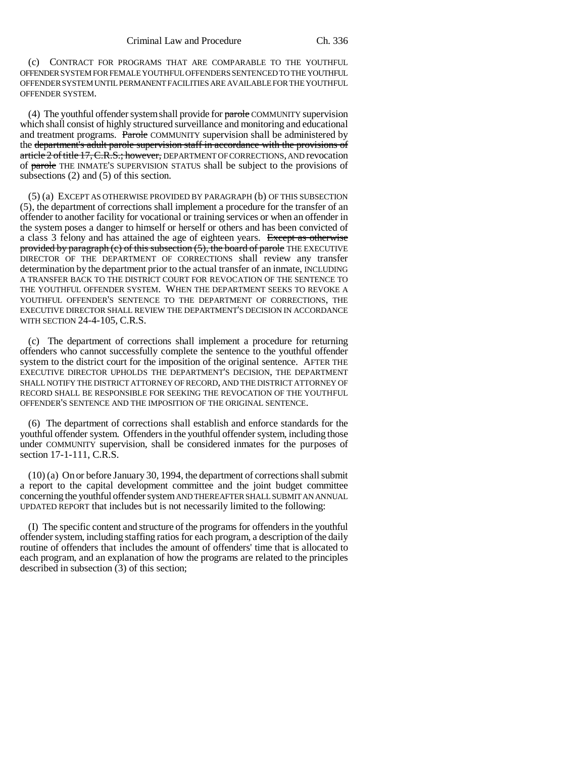(c) CONTRACT FOR PROGRAMS THAT ARE COMPARABLE TO THE YOUTHFUL OFFENDER SYSTEM FOR FEMALE YOUTHFUL OFFENDERS SENTENCED TO THE YOUTHFUL OFFENDER SYSTEM UNTIL PERMANENT FACILITIES ARE AVAILABLE FOR THE YOUTHFUL OFFENDER SYSTEM.

(4) The youthful offender system shall provide for  $\frac{1}{\text{pareble}}$  COMMUNITY supervision which shall consist of highly structured surveillance and monitoring and educational and treatment programs. Parole COMMUNITY supervision shall be administered by the department's adult parole supervision staff in accordance with the provisions of article 2 of title 17, C.R.S.; however, DEPARTMENT OF CORRECTIONS, AND revocation of parole THE INMATE'S SUPERVISION STATUS shall be subject to the provisions of subsections (2) and (5) of this section.

(5) (a) EXCEPT AS OTHERWISE PROVIDED BY PARAGRAPH (b) OF THIS SUBSECTION (5), the department of corrections shall implement a procedure for the transfer of an offender to another facility for vocational or training services or when an offender in the system poses a danger to himself or herself or others and has been convicted of a class 3 felony and has attained the age of eighteen years. Except as otherwise provided by paragraph (c) of this subsection (5), the board of parole THE EXECUTIVE DIRECTOR OF THE DEPARTMENT OF CORRECTIONS shall review any transfer determination by the department prior to the actual transfer of an inmate, INCLUDING A TRANSFER BACK TO THE DISTRICT COURT FOR REVOCATION OF THE SENTENCE TO THE YOUTHFUL OFFENDER SYSTEM. WHEN THE DEPARTMENT SEEKS TO REVOKE A YOUTHFUL OFFENDER'S SENTENCE TO THE DEPARTMENT OF CORRECTIONS, THE EXECUTIVE DIRECTOR SHALL REVIEW THE DEPARTMENT'S DECISION IN ACCORDANCE WITH SECTION 24-4-105, C.R.S.

(c) The department of corrections shall implement a procedure for returning offenders who cannot successfully complete the sentence to the youthful offender system to the district court for the imposition of the original sentence. AFTER THE EXECUTIVE DIRECTOR UPHOLDS THE DEPARTMENT'S DECISION, THE DEPARTMENT SHALL NOTIFY THE DISTRICT ATTORNEY OF RECORD, AND THE DISTRICT ATTORNEY OF RECORD SHALL BE RESPONSIBLE FOR SEEKING THE REVOCATION OF THE YOUTHFUL OFFENDER'S SENTENCE AND THE IMPOSITION OF THE ORIGINAL SENTENCE.

(6) The department of corrections shall establish and enforce standards for the youthful offender system. Offenders in the youthful offender system, including those under COMMUNITY supervision, shall be considered inmates for the purposes of section 17-1-111, C.R.S.

(10) (a) On or before January 30, 1994, the department of corrections shall submit a report to the capital development committee and the joint budget committee concerning the youthful offender system AND THEREAFTER SHALL SUBMIT AN ANNUAL UPDATED REPORT that includes but is not necessarily limited to the following:

(I) The specific content and structure of the programs for offenders in the youthful offender system, including staffing ratios for each program, a description of the daily routine of offenders that includes the amount of offenders' time that is allocated to each program, and an explanation of how the programs are related to the principles described in subsection (3) of this section;